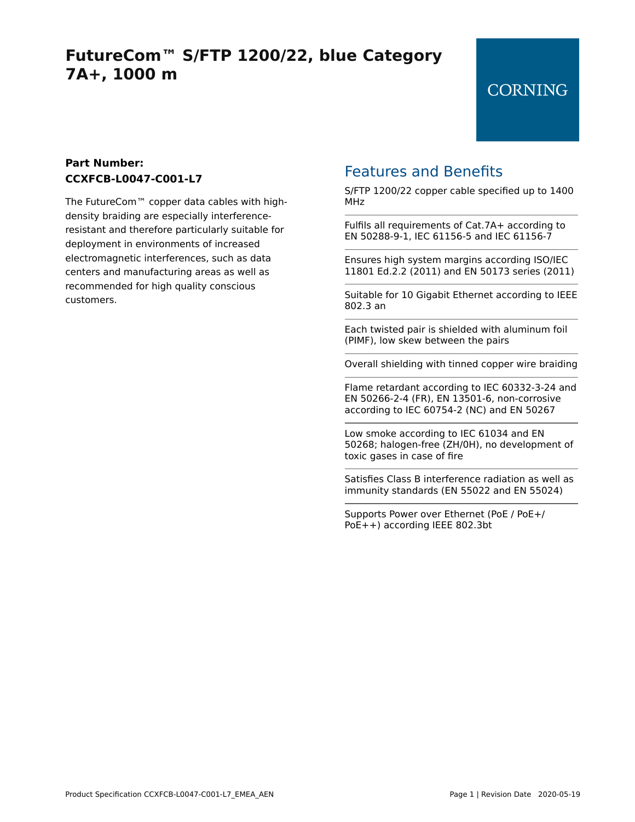## **FutureCom™ S/FTP 1200/22, blue Category 7A+, 1000 m**

#### **Part Number: CCXFCB-L0047-C001-L7**

The FutureCom™ copper data cables with highdensity braiding are especially interferenceresistant and therefore particularly suitable for deployment in environments of increased electromagnetic interferences, such as data centers and manufacturing areas as well as recommended for high quality conscious customers.

### Features and Benefits

S/FTP 1200/22 copper cable specified up to 1400 MHz

Fulfils all requirements of Cat.7A+ according to EN 50288-9-1, IEC 61156-5 and IEC 61156-7

Ensures high system margins according ISO/IEC 11801 Ed.2.2 (2011) and EN 50173 series (2011)

Suitable for 10 Gigabit Ethernet according to IEEE 802.3 an

Each twisted pair is shielded with aluminum foil (PIMF), low skew between the pairs

Overall shielding with tinned copper wire braiding

Flame retardant according to IEC 60332-3-24 and EN 50266-2-4 (FR), EN 13501-6, non-corrosive according to IEC 60754-2 (NC) and EN 50267

Low smoke according to IEC 61034 and EN 50268; halogen-free (ZH/0H), no development of toxic gases in case of fire

Satisfies Class B interference radiation as well as immunity standards (EN 55022 and EN 55024)

Supports Power over Ethernet (PoE / PoE+/ PoE++) according IEEE 802.3bt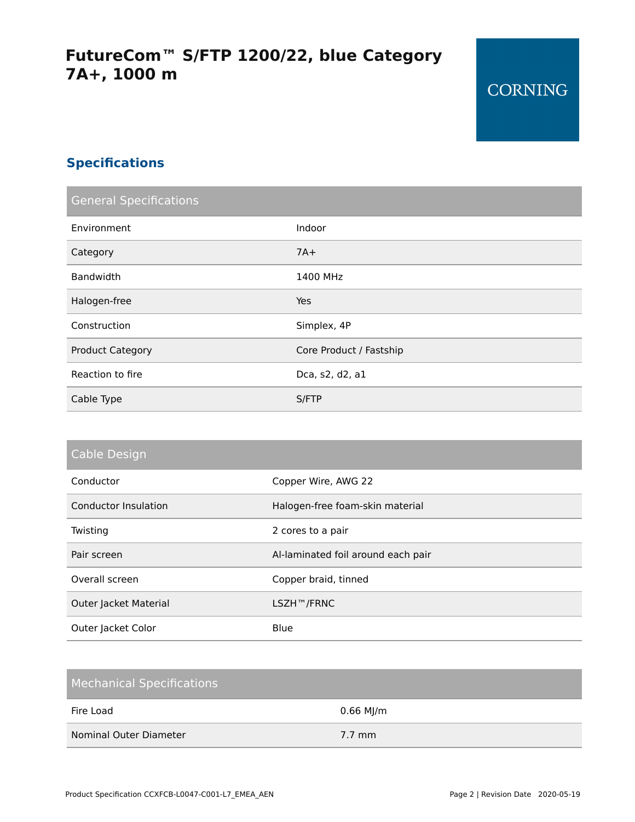### **Specifications**

| <b>General Specifications</b> |                         |
|-------------------------------|-------------------------|
| Environment                   | Indoor                  |
| Category                      | $7A+$                   |
| Bandwidth                     | 1400 MHz                |
| Halogen-free                  | Yes                     |
| Construction                  | Simplex, 4P             |
| <b>Product Category</b>       | Core Product / Fastship |
| Reaction to fire              | Dca, s2, d2, a1         |
| Cable Type                    | S/FTP                   |

| Cable Design |  |  |  |
|--------------|--|--|--|
|              |  |  |  |

| Conductor             | Copper Wire, AWG 22                |
|-----------------------|------------------------------------|
| Conductor Insulation  | Halogen-free foam-skin material    |
| Twisting              | 2 cores to a pair                  |
| Pair screen           | Al-laminated foil around each pair |
| Overall screen        | Copper braid, tinned               |
| Outer Jacket Material | LSZH™/FRNC                         |
| Outer Jacket Color    | Blue                               |

| <b>Mechanical Specifications</b> |                  |
|----------------------------------|------------------|
| Fire Load                        | $0.66$ MJ/m      |
| Nominal Outer Diameter           | $7.7 \text{ mm}$ |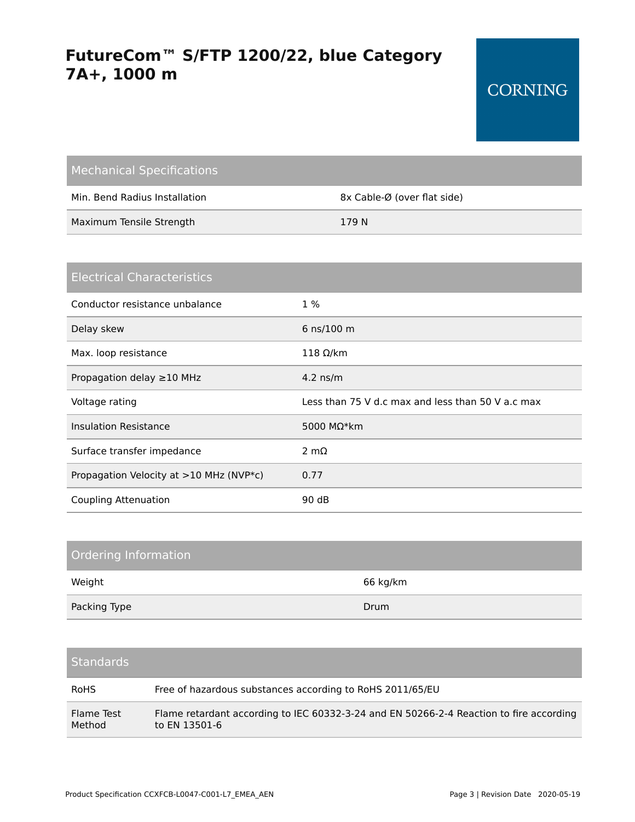# **FutureCom™ S/FTP 1200/22, blue Category 7A+, 1000 m**

| <b>Mechanical Specifications</b> |                             |
|----------------------------------|-----------------------------|
| Min. Bend Radius Installation    | 8x Cable-Ø (over flat side) |
| Maximum Tensile Strength         | 179 N                       |

| <b>Electrical Characteristics</b>             |                                                   |
|-----------------------------------------------|---------------------------------------------------|
| Conductor resistance unbalance                | $1\%$                                             |
| Delay skew                                    | 6 ns/100 m                                        |
| Max. loop resistance                          | 118 $Ω/km$                                        |
| Propagation delay $\geq$ 10 MHz               | $4.2$ ns/m                                        |
| Voltage rating                                | Less than 75 V d.c max and less than 50 V a.c max |
| Insulation Resistance                         | 5000 M $\Omega^*$ km                              |
| Surface transfer impedance                    | $2 \text{ mA}$                                    |
| Propagation Velocity at $>10$ MHz (NVP $*$ c) | 0.77                                              |
| Coupling Attenuation                          | 90 dB                                             |

| Ordering Information |          |
|----------------------|----------|
| Weight               | 66 kg/km |
| Packing Type         | Drum     |

| Standards' |  |  |  |  |
|------------|--|--|--|--|

| <b>RoHS</b> | Free of hazardous substances according to RoHS 2011/65/EU                               |
|-------------|-----------------------------------------------------------------------------------------|
| Flame Test  | Flame retardant according to IEC 60332-3-24 and EN 50266-2-4 Reaction to fire according |
| Method      | to EN 13501-6                                                                           |